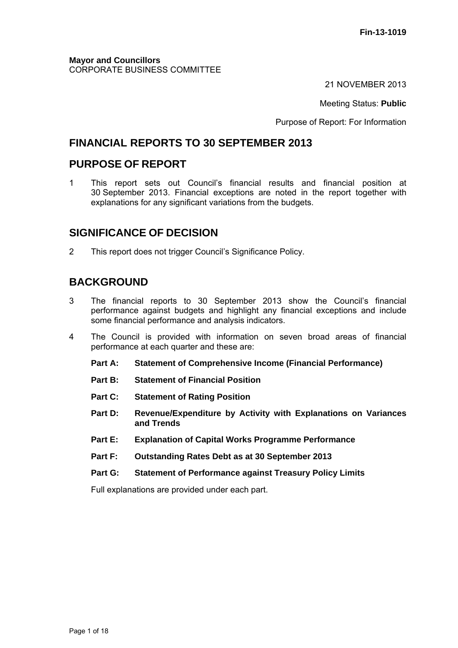21 NOVEMBER 2013

Meeting Status: **Public**

Purpose of Report: For Information

## **FINANCIAL REPORTS TO 30 SEPTEMBER 2013**

## **PURPOSE OF REPORT**

1 This report sets out Council's financial results and financial position at 30 September 2013. Financial exceptions are noted in the report together with explanations for any significant variations from the budgets.

## **SIGNIFICANCE OF DECISION**

2 This report does not trigger Council's Significance Policy.

## **BACKGROUND**

- 3 The financial reports to 30 September 2013 show the Council's financial performance against budgets and highlight any financial exceptions and include some financial performance and analysis indicators.
- 4 The Council is provided with information on seven broad areas of financial performance at each quarter and these are:
	- **Part A: Statement of Comprehensive Income (Financial Performance)**
	- **Part B: Statement of Financial Position**
	- **Part C: Statement of Rating Position**
	- **Part D: Revenue/Expenditure by Activity with Explanations on Variances and Trends**
	- **Part E: Explanation of Capital Works Programme Performance**
	- **Part F: Outstanding Rates Debt as at 30 September 2013**
	- **Part G: Statement of Performance against Treasury Policy Limits**

Full explanations are provided under each part.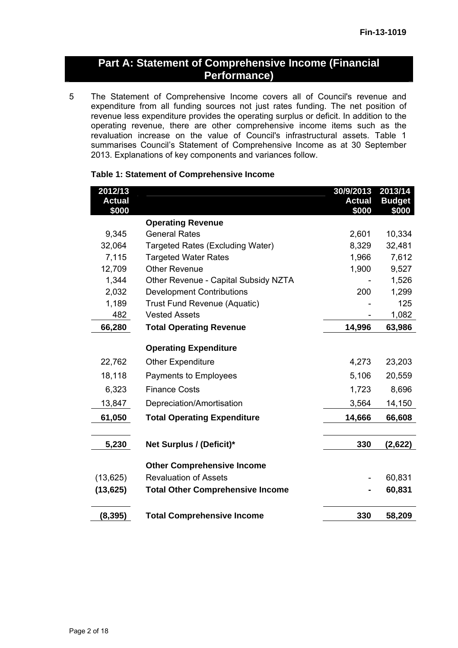## **Part A: Statement of Comprehensive Income (Financial Performance)**

5 The Statement of Comprehensive Income covers all of Council's revenue and expenditure from all funding sources not just rates funding. The net position of revenue less expenditure provides the operating surplus or deficit. In addition to the operating revenue, there are other comprehensive income items such as the revaluation increase on the value of Council's infrastructural assets. Table 1 summarises Council's Statement of Comprehensive Income as at 30 September 2013. Explanations of key components and variances follow.

| 2012/13       |                                         | 30/9/2013     | 2013/14       |
|---------------|-----------------------------------------|---------------|---------------|
| <b>Actual</b> |                                         | <b>Actual</b> | <b>Budget</b> |
| \$000         |                                         | \$000         | \$000         |
|               | <b>Operating Revenue</b>                |               |               |
| 9,345         | <b>General Rates</b>                    | 2,601         | 10,334        |
| 32,064        | Targeted Rates (Excluding Water)        | 8,329         | 32,481        |
| 7,115         | <b>Targeted Water Rates</b>             | 1,966         | 7,612         |
| 12,709        | <b>Other Revenue</b>                    | 1,900         | 9,527         |
| 1,344         | Other Revenue - Capital Subsidy NZTA    |               | 1,526         |
| 2,032         | <b>Development Contributions</b>        | 200           | 1,299         |
| 1,189         | <b>Trust Fund Revenue (Aquatic)</b>     |               | 125           |
| 482           | <b>Vested Assets</b>                    |               | 1,082         |
| 66,280        | <b>Total Operating Revenue</b>          | 14,996        | 63,986        |
|               | <b>Operating Expenditure</b>            |               |               |
| 22,762        | <b>Other Expenditure</b>                | 4,273         | 23,203        |
| 18,118        | Payments to Employees                   | 5,106         | 20,559        |
| 6,323         | <b>Finance Costs</b>                    | 1,723         | 8,696         |
| 13,847        | Depreciation/Amortisation               | 3,564         | 14,150        |
| 61,050        | <b>Total Operating Expenditure</b>      | 14,666        | 66,608        |
|               |                                         |               |               |
| 5,230         | Net Surplus / (Deficit)*                | 330           | (2,622)       |
|               | <b>Other Comprehensive Income</b>       |               |               |
| (13, 625)     | <b>Revaluation of Assets</b>            |               | 60,831        |
| (13, 625)     | <b>Total Other Comprehensive Income</b> |               | 60,831        |
| (8, 395)      | <b>Total Comprehensive Income</b>       | 330           | 58,209        |
|               |                                         |               |               |

#### **Table 1: Statement of Comprehensive Income**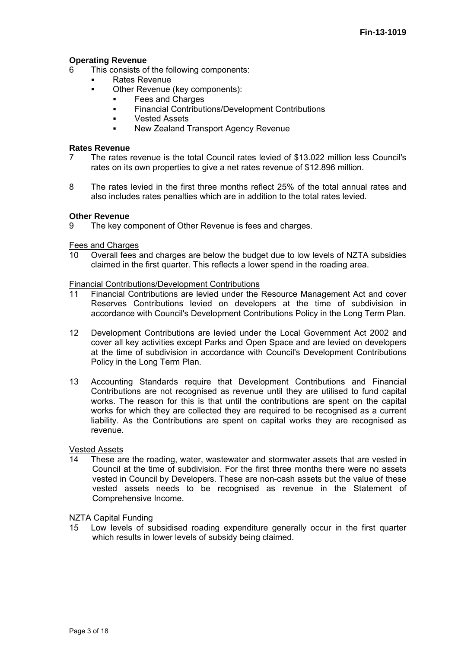#### **Operating Revenue**

- 6 This consists of the following components:
	- Rates Revenue
		- Other Revenue (key components):
			- Fees and Charges
			- **Financial Contributions/Development Contributions**
			- Vested Assets
			- New Zealand Transport Agency Revenue

#### **Rates Revenue**

- 7 The rates revenue is the total Council rates levied of \$13.022 million less Council's rates on its own properties to give a net rates revenue of \$12.896 million.
- 8 The rates levied in the first three months reflect 25% of the total annual rates and also includes rates penalties which are in addition to the total rates levied.

#### **Other Revenue**

9 The key component of Other Revenue is fees and charges.

#### Fees and Charges

10 Overall fees and charges are below the budget due to low levels of NZTA subsidies claimed in the first quarter. This reflects a lower spend in the roading area.

#### Financial Contributions/Development Contributions

- 11 Financial Contributions are levied under the Resource Management Act and cover Reserves Contributions levied on developers at the time of subdivision in accordance with Council's Development Contributions Policy in the Long Term Plan.
- 12 Development Contributions are levied under the Local Government Act 2002 and cover all key activities except Parks and Open Space and are levied on developers at the time of subdivision in accordance with Council's Development Contributions Policy in the Long Term Plan.
- 13 Accounting Standards require that Development Contributions and Financial Contributions are not recognised as revenue until they are utilised to fund capital works. The reason for this is that until the contributions are spent on the capital works for which they are collected they are required to be recognised as a current liability. As the Contributions are spent on capital works they are recognised as revenue.

#### Vested Assets

These are the roading, water, wastewater and stormwater assets that are vested in Council at the time of subdivision. For the first three months there were no assets vested in Council by Developers. These are non-cash assets but the value of these vested assets needs to be recognised as revenue in the Statement of Comprehensive Income.

#### NZTA Capital Funding

15 Low levels of subsidised roading expenditure generally occur in the first quarter which results in lower levels of subsidy being claimed.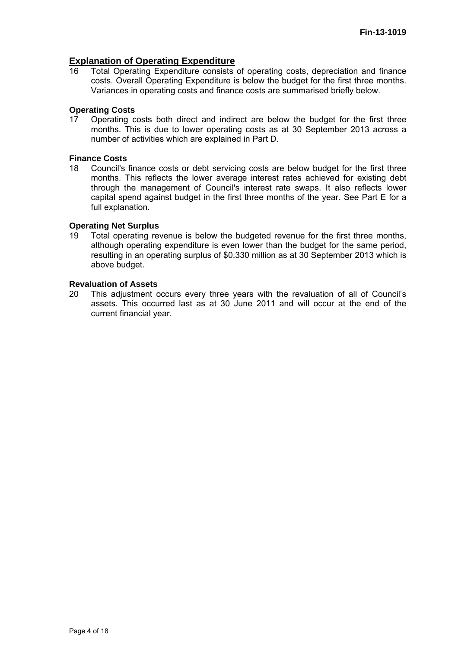#### **Explanation of Operating Expenditure**

16 Total Operating Expenditure consists of operating costs, depreciation and finance costs. Overall Operating Expenditure is below the budget for the first three months. Variances in operating costs and finance costs are summarised briefly below.

#### **Operating Costs**

17 Operating costs both direct and indirect are below the budget for the first three months. This is due to lower operating costs as at 30 September 2013 across a number of activities which are explained in Part D.

#### **Finance Costs**

18 Council's finance costs or debt servicing costs are below budget for the first three months. This reflects the lower average interest rates achieved for existing debt through the management of Council's interest rate swaps. It also reflects lower capital spend against budget in the first three months of the year. See Part E for a full explanation.

#### **Operating Net Surplus**

19 Total operating revenue is below the budgeted revenue for the first three months, although operating expenditure is even lower than the budget for the same period, resulting in an operating surplus of \$0.330 million as at 30 September 2013 which is above budget.

#### **Revaluation of Assets**

20 This adjustment occurs every three years with the revaluation of all of Council's assets. This occurred last as at 30 June 2011 and will occur at the end of the current financial year.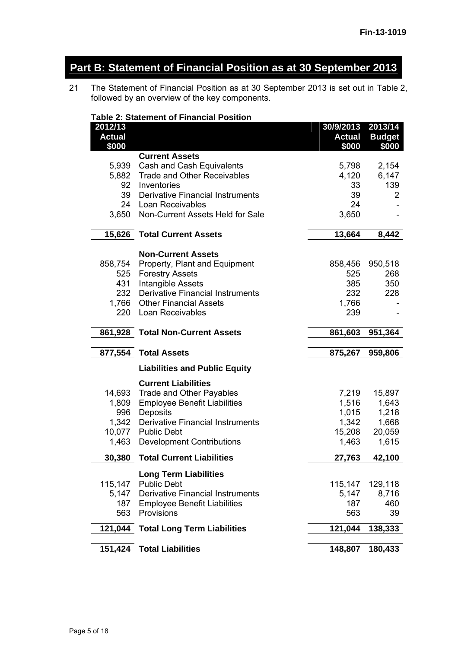# **Part B: Statement of Financial Position as at 30 September 2013**

21 The Statement of Financial Position as at 30 September 2013 is set out in Table 2, followed by an overview of the key components.

#### **Table 2: Statement of Financial Position**

| 2012/13<br><b>Actual</b> |                                         | 30/9/2013 2013/14<br><b>Actual</b> | <b>Budget</b> |
|--------------------------|-----------------------------------------|------------------------------------|---------------|
| \$000                    |                                         | \$000                              | \$000         |
|                          | <b>Current Assets</b>                   |                                    |               |
| 5,939                    | Cash and Cash Equivalents               | 5,798                              | 2,154         |
| 5,882                    | <b>Trade and Other Receivables</b>      | 4,120                              | 6,147         |
| 92                       | Inventories                             | 33                                 | 139           |
| 39                       | <b>Derivative Financial Instruments</b> | 39                                 | 2             |
| 24                       | Loan Receivables                        | 24                                 |               |
| 3,650                    | Non-Current Assets Held for Sale        | 3,650                              |               |
| 15,626                   | <b>Total Current Assets</b>             | 13,664                             | 8,442         |
|                          | <b>Non-Current Assets</b>               |                                    |               |
| 858,754                  | Property, Plant and Equipment           | 858,456                            | 950,518       |
| 525                      | <b>Forestry Assets</b>                  | 525                                | 268           |
| 431                      | <b>Intangible Assets</b>                | 385                                | 350           |
| 232                      | <b>Derivative Financial Instruments</b> | 232                                | 228           |
| 1,766                    | <b>Other Financial Assets</b>           | 1,766                              |               |
| 220                      | Loan Receivables                        | 239                                |               |
| 861,928                  | <b>Total Non-Current Assets</b>         | 861,603                            | 951,364       |
| 877,554                  | <b>Total Assets</b>                     | 875,267                            | 959,806       |
|                          | <b>Liabilities and Public Equity</b>    |                                    |               |
|                          | <b>Current Liabilities</b>              |                                    |               |
| 14,693                   | Trade and Other Payables                | 7,219                              | 15,897        |
| 1,809                    | <b>Employee Benefit Liabilities</b>     | 1,516                              | 1,643         |
| 996                      | Deposits                                | 1,015                              | 1,218         |
| 1,342                    | <b>Derivative Financial Instruments</b> | 1,342                              | 1,668         |
| 10,077                   | <b>Public Debt</b>                      | 15,208                             | 20,059        |
| 1,463                    | <b>Development Contributions</b>        | 1,463                              | 1,615         |
| 30,380                   | <b>Total Current Liabilities</b>        | 27,763                             | 42,100        |
|                          | <b>Long Term Liabilities</b>            |                                    |               |
| 115,147                  | <b>Public Debt</b>                      | 115,147                            | 129,118       |
| 5,147                    | <b>Derivative Financial Instruments</b> | 5,147                              | 8,716         |
| 187                      | <b>Employee Benefit Liabilities</b>     | 187                                | 460           |
| 563                      | Provisions                              | 563                                | 39            |
| 121,044                  | <b>Total Long Term Liabilities</b>      | 121,044                            | 138,333       |
| 151,424                  | <b>Total Liabilities</b>                | 148,807                            | 180,433       |
|                          |                                         |                                    |               |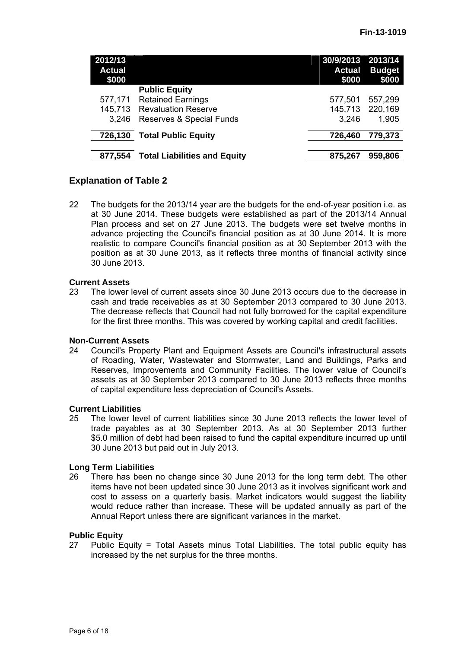| 2012/13<br><b>Actual</b><br>\$000 |                                     | 30/9/2013 2013/14<br><b>Actual</b><br>\$000 | <b>Budget</b><br>\$000 |
|-----------------------------------|-------------------------------------|---------------------------------------------|------------------------|
|                                   | <b>Public Equity</b>                |                                             |                        |
| 577,171                           | <b>Retained Earnings</b>            | 577,501                                     | 557,299                |
| 145,713                           | <b>Revaluation Reserve</b>          | 145,713                                     | 220,169                |
| 3.246                             | Reserves & Special Funds            | 3,246                                       | 1,905                  |
| 726,130                           | <b>Total Public Equity</b>          | 726,460                                     | 779,373                |
| 877,554                           | <b>Total Liabilities and Equity</b> | 875,267                                     | 959,806                |

#### **Explanation of Table 2**

22 The budgets for the 2013/14 year are the budgets for the end-of-year position i.e. as at 30 June 2014. These budgets were established as part of the 2013/14 Annual Plan process and set on 27 June 2013. The budgets were set twelve months in advance projecting the Council's financial position as at 30 June 2014. It is more realistic to compare Council's financial position as at 30 September 2013 with the position as at 30 June 2013, as it reflects three months of financial activity since 30 June 2013.

#### **Current Assets**

23 The lower level of current assets since 30 June 2013 occurs due to the decrease in cash and trade receivables as at 30 September 2013 compared to 30 June 2013. The decrease reflects that Council had not fully borrowed for the capital expenditure for the first three months. This was covered by working capital and credit facilities.

#### **Non-Current Assets**

24 Council's Property Plant and Equipment Assets are Council's infrastructural assets of Roading, Water, Wastewater and Stormwater, Land and Buildings, Parks and Reserves, Improvements and Community Facilities. The lower value of Council's assets as at 30 September 2013 compared to 30 June 2013 reflects three months of capital expenditure less depreciation of Council's Assets.

#### **Current Liabilities**

25 The lower level of current liabilities since 30 June 2013 reflects the lower level of trade payables as at 30 September 2013. As at 30 September 2013 further \$5.0 million of debt had been raised to fund the capital expenditure incurred up until 30 June 2013 but paid out in July 2013.

#### **Long Term Liabilities**

26 There has been no change since 30 June 2013 for the long term debt. The other items have not been updated since 30 June 2013 as it involves significant work and cost to assess on a quarterly basis. Market indicators would suggest the liability would reduce rather than increase. These will be updated annually as part of the Annual Report unless there are significant variances in the market.

#### **Public Equity**

27 Public Equity = Total Assets minus Total Liabilities. The total public equity has increased by the net surplus for the three months.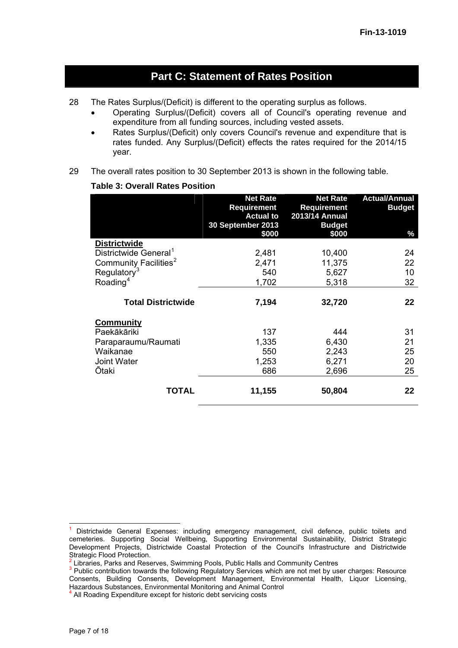## **Part C: Statement of Rates Position**

- 28 The Rates Surplus/(Deficit) is different to the operating surplus as follows.
	- Operating Surplus/(Deficit) covers all of Council's operating revenue and expenditure from all funding sources, including vested assets.
	- Rates Surplus/(Deficit) only covers Council's revenue and expenditure that is rates funded. Any Surplus/(Deficit) effects the rates required for the 2014/15 year.
- 29 The overall rates position to 30 September 2013 is shown in the following table.

#### **Table 3: Overall Rates Position**

|                                   | <b>Net Rate</b><br><b>Requirement</b><br><b>Actual to</b><br>30 September 2013<br>\$000 | <b>Net Rate</b><br><b>Requirement</b><br>2013/14 Annual<br><b>Budget</b><br>\$000 | <b>Actual/Annual</b><br><b>Budget</b><br>% |
|-----------------------------------|-----------------------------------------------------------------------------------------|-----------------------------------------------------------------------------------|--------------------------------------------|
| <b>Districtwide</b>               |                                                                                         |                                                                                   |                                            |
| Districtwide General <sup>1</sup> | 2,481                                                                                   | 10,400                                                                            | 24                                         |
| Community Facilities <sup>2</sup> | 2,471                                                                                   | 11,375                                                                            | 22                                         |
| Regulatory <sup>3</sup>           | 540                                                                                     | 5,627                                                                             | 10                                         |
| Roading <sup>4</sup>              | 1,702                                                                                   | 5,318                                                                             | 32                                         |
| <b>Total Districtwide</b>         | 7,194                                                                                   | 32,720                                                                            | 22                                         |
| <b>Community</b>                  |                                                                                         |                                                                                   |                                            |
| Paekākāriki                       | 137                                                                                     | 444                                                                               | 31                                         |
| Paraparaumu/Raumati               | 1,335                                                                                   | 6,430                                                                             | 21                                         |
| Waikanae                          | 550                                                                                     | 2,243                                                                             | 25                                         |
| <b>Joint Water</b>                | 1,253                                                                                   | 6,271                                                                             | 20                                         |
| Ōtaki                             | 686                                                                                     | 2,696                                                                             | 25                                         |
| TOTAL                             | 11,155                                                                                  | 50,804                                                                            | 22                                         |

<span id="page-6-0"></span><sup>&</sup>lt;sup>1</sup> Districtwide General Expenses: including emergency management, civil defence, public toilets and cemeteries. Supporting Social Wellbeing, Supporting Environmental Sustainability, District Strategic Development Projects, Districtwide Coastal Protection of the Council's Infrastructure and Districtwide Strategic Flood Protection.<br>
<sup>2</sup> Libraries, Parks and Reserves, Swimming Pools, Public Halls and Community Centres

<span id="page-6-2"></span><span id="page-6-1"></span><sup>&</sup>lt;sup>3</sup> Public contribution towards the following Regulatory Services which are not met by user charges: Resource Consents, Building Consents, Development Management, Environmental Health, Liquor Licensing, Hazardous Substances, Environmental Monitoring and Animal Control

<span id="page-6-3"></span><sup>&</sup>lt;sup>4</sup> All Roading Expenditure except for historic debt servicing costs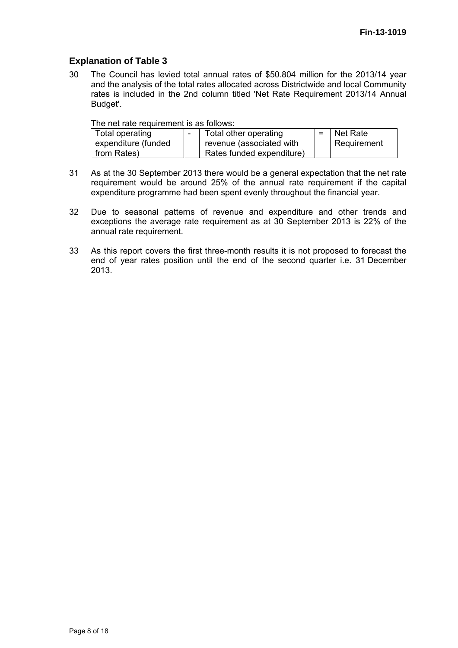#### **Explanation of Table 3**

30 The Council has levied total annual rates of \$50.804 million for the 2013/14 year and the analysis of the total rates allocated across Districtwide and local Community rates is included in the 2nd column titled 'Net Rate Requirement 2013/14 Annual Budget'.

The net rate requirement is as follows:

| Total operating     | Total other operating     | $=$ Net Rate |
|---------------------|---------------------------|--------------|
| expenditure (funded | revenue (associated with  | Requirement  |
| from Rates)         | Rates funded expenditure) |              |

- 31 As at the 30 September 2013 there would be a general expectation that the net rate requirement would be around 25% of the annual rate requirement if the capital expenditure programme had been spent evenly throughout the financial year.
- 32 Due to seasonal patterns of revenue and expenditure and other trends and exceptions the average rate requirement as at 30 September 2013 is 22% of the annual rate requirement.
- 33 As this report covers the first three-month results it is not proposed to forecast the end of year rates position until the end of the second quarter i.e. 31 December 2013.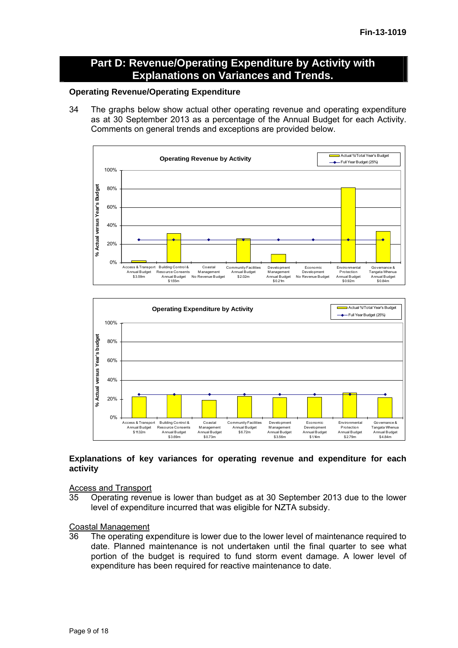### **Part D: Revenue/Operating Expenditure by Activity with Explanations on Variances and Trends.**

#### **Operating Revenue/Operating Expenditure**

34 The graphs below show actual other operating revenue and operating expenditure as at 30 September 2013 as a percentage of the Annual Budget for each Activity. Comments on general trends and exceptions are provided below.





#### **Explanations of key variances for operating revenue and expenditure for each activity**

Access and Transport

35 Operating revenue is lower than budget as at 30 September 2013 due to the lower level of expenditure incurred that was eligible for NZTA subsidy.

#### Coastal Management

36 The operating expenditure is lower due to the lower level of maintenance required to date. Planned maintenance is not undertaken until the final quarter to see what portion of the budget is required to fund storm event damage. A lower level of expenditure has been required for reactive maintenance to date.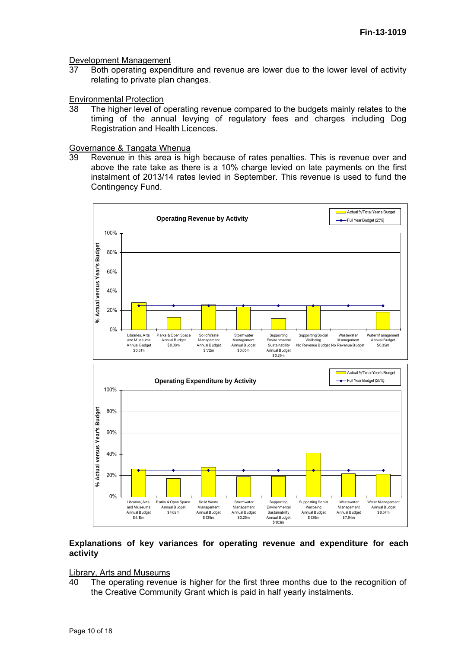#### Development Management

37 Both operating expenditure and revenue are lower due to the lower level of activity relating to private plan changes.

#### Environmental Protection

38 The higher level of operating revenue compared to the budgets mainly relates to the timing of the annual levying of regulatory fees and charges including Dog Registration and Health Licences.

#### Governance & Tangata Whenua

39 Revenue in this area is high because of rates penalties. This is revenue over and above the rate take as there is a 10% charge levied on late payments on the first instalment of 2013/14 rates levied in September. This revenue is used to fund the Contingency Fund.



#### **Explanations of key variances for operating revenue and expenditure for each activity**

#### Library, Arts and Museums

40 The operating revenue is higher for the first three months due to the recognition of the Creative Community Grant which is paid in half yearly instalments.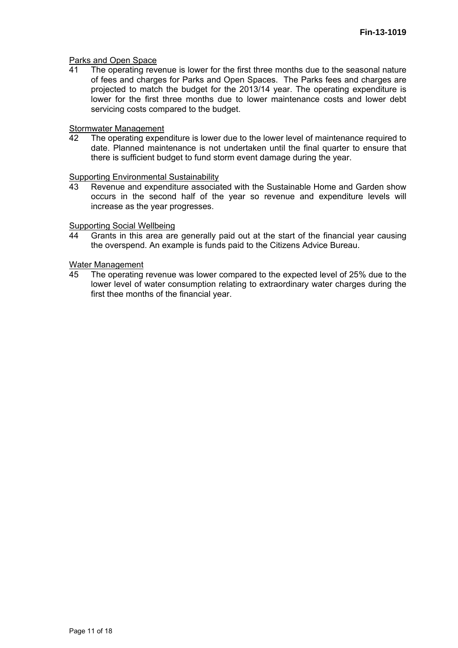#### Parks and Open Space

41 The operating revenue is lower for the first three months due to the seasonal nature of fees and charges for Parks and Open Spaces. The Parks fees and charges are projected to match the budget for the 2013/14 year. The operating expenditure is lower for the first three months due to lower maintenance costs and lower debt servicing costs compared to the budget.

#### Stormwater Management

42 The operating expenditure is lower due to the lower level of maintenance required to date. Planned maintenance is not undertaken until the final quarter to ensure that there is sufficient budget to fund storm event damage during the year.

#### Supporting Environmental Sustainability

43 Revenue and expenditure associated with the Sustainable Home and Garden show occurs in the second half of the year so revenue and expenditure levels will increase as the year progresses.

#### Supporting Social Wellbeing

44 Grants in this area are generally paid out at the start of the financial year causing the overspend. An example is funds paid to the Citizens Advice Bureau.

#### Water Management

45 The operating revenue was lower compared to the expected level of 25% due to the lower level of water consumption relating to extraordinary water charges during the first thee months of the financial year.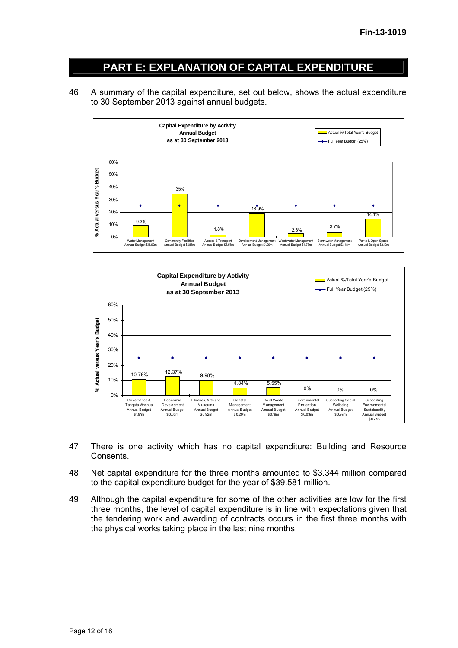# **PART E: EXPLANATION OF CAPITAL EXPENDITURE**

46 A summary of the capital expenditure, set out below, shows the actual expenditure to 30 September 2013 against annual budgets.





- 47 There is one activity which has no capital expenditure: Building and Resource Consents.
- 48 Net capital expenditure for the three months amounted to \$3.344 million compared to the capital expenditure budget for the year of \$39.581 million.
- 49 Although the capital expenditure for some of the other activities are low for the first three months, the level of capital expenditure is in line with expectations given that the tendering work and awarding of contracts occurs in the first three months with the physical works taking place in the last nine months.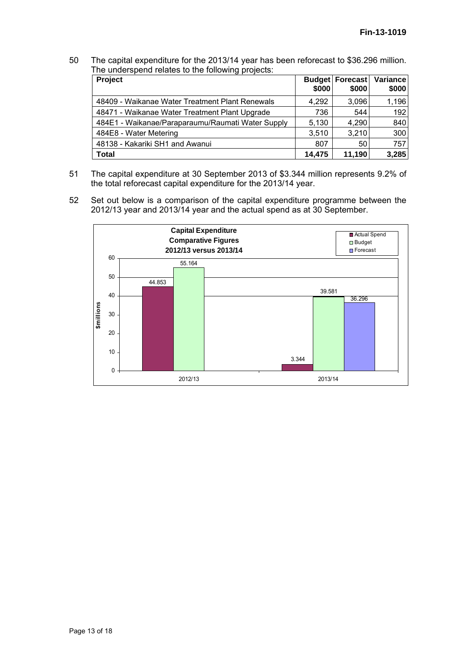50 The capital expenditure for the 2013/14 year has been reforecast to \$36.296 million. The underspend relates to the following projects:

| <b>Project</b>                                    | \$000  | Budget Forecast<br>\$000 | Variance<br>\$000 |
|---------------------------------------------------|--------|--------------------------|-------------------|
| 48409 - Waikanae Water Treatment Plant Renewals   | 4,292  | 3,096                    | 1,196             |
| 48471 - Waikanae Water Treatment Plant Upgrade    | 736    | 544                      | 192               |
| 484E1 - Waikanae/Paraparaumu/Raumati Water Supply | 5,130  | 4,290                    | 840               |
| 484E8 - Water Metering                            | 3,510  | 3,210                    | 300               |
| 48138 - Kakariki SH1 and Awanui                   | 807    | 50                       | 757               |
| <b>Total</b>                                      | 14,475 | 11,190                   | 3,285             |

- 51 The capital expenditure at 30 September 2013 of \$3.344 million represents 9.2% of the total reforecast capital expenditure for the 2013/14 year.
- 52 Set out below is a comparison of the capital expenditure programme between the 2012/13 year and 2013/14 year and the actual spend as at 30 September.

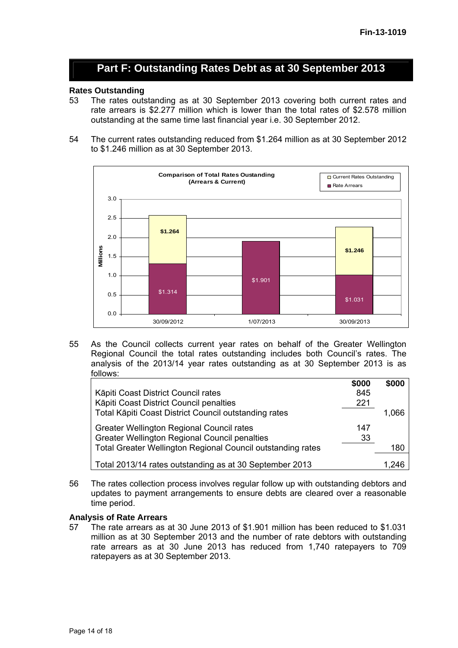## **Part F: Outstanding Rates Debt as at 30 September 2013**

# **Rates Outstanding**

- The rates outstanding as at 30 September 2013 covering both current rates and rate arrears is \$2.277 million which is lower than the total rates of \$2.578 million outstanding at the same time last financial year i.e. 30 September 2012.
- 54 The current rates outstanding reduced from \$1.264 million as at 30 September 2012 to \$1.246 million as at 30 September 2013.



55 As the Council collects current year rates on behalf of the Greater Wellington Regional Council the total rates outstanding includes both Council's rates. The analysis of the 2013/14 year rates outstanding as at 30 September 2013 is as follows:

|                                                                    | \$000 | \$000 |
|--------------------------------------------------------------------|-------|-------|
| Kāpiti Coast District Council rates                                | 845   |       |
| Kāpiti Coast District Council penalties                            | 221   |       |
| Total Kāpiti Coast District Council outstanding rates              |       | 1,066 |
| Greater Wellington Regional Council rates                          | 147   |       |
| <b>Greater Wellington Regional Council penalties</b>               | 33    |       |
| <b>Total Greater Wellington Regional Council outstanding rates</b> |       | 180   |
| Total 2013/14 rates outstanding as at 30 September 2013            |       | 1.246 |

56 The rates collection process involves regular follow up with outstanding debtors and updates to payment arrangements to ensure debts are cleared over a reasonable time period.

#### **Analysis of Rate Arrears**

57 The rate arrears as at 30 June 2013 of \$1.901 million has been reduced to \$1.031 million as at 30 September 2013 and the number of rate debtors with outstanding rate arrears as at 30 June 2013 has reduced from 1,740 ratepayers to 709 ratepayers as at 30 September 2013.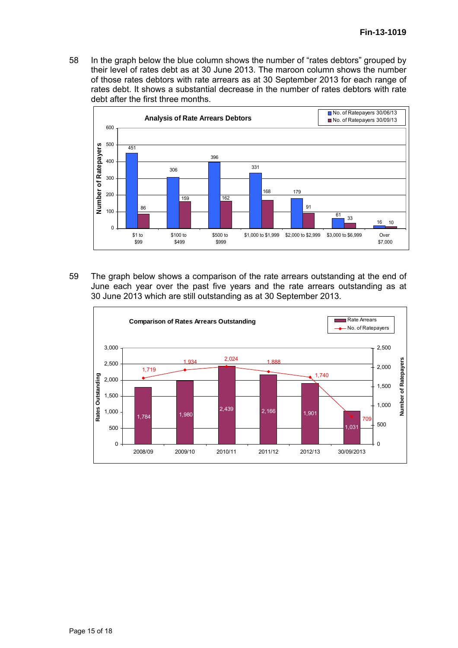58 In the graph below the blue column shows the number of "rates debtors" grouped by their level of rates debt as at 30 June 2013. The maroon column shows the number of those rates debtors with rate arrears as at 30 September 2013 for each range of rates debt. It shows a substantial decrease in the number of rates debtors with rate debt after the first three months.



59 The graph below shows a comparison of the rate arrears outstanding at the end of June each year over the past five years and the rate arrears outstanding as at 30 June 2013 which are still outstanding as at 30 September 2013.

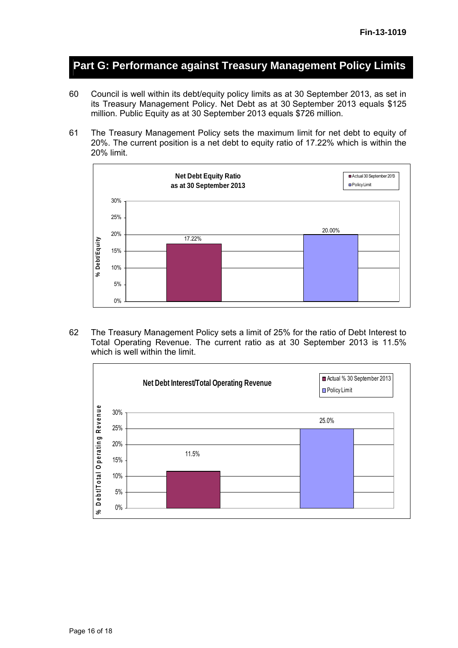## **Part G: Performance against Treasury Management Policy Limits**

- 60 Council is well within its debt/equity policy limits as at 30 September 2013, as set in its Treasury Management Policy. Net Debt as at 30 September 2013 equals \$125 million. Public Equity as at 30 September 2013 equals \$726 million.
- 61 The Treasury Management Policy sets the maximum limit for net debt to equity of 20%. The current position is a net debt to equity ratio of 17.22% which is within the 20% limit.



62 The Treasury Management Policy sets a limit of 25% for the ratio of Debt Interest to Total Operating Revenue. The current ratio as at 30 September 2013 is 11.5% which is well within the limit.

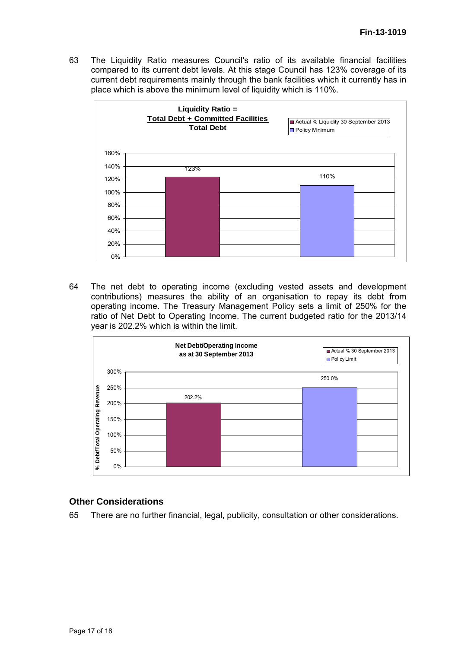63 The Liquidity Ratio measures Council's ratio of its available financial facilities compared to its current debt levels. At this stage Council has 123% coverage of its current debt requirements mainly through the bank facilities which it currently has in place which is above the minimum level of liquidity which is 110%.



64 The net debt to operating income (excluding vested assets and development contributions) measures the ability of an organisation to repay its debt from operating income. The Treasury Management Policy sets a limit of 250% for the ratio of Net Debt to Operating Income. The current budgeted ratio for the 2013/14 year is 202.2% which is within the limit.



#### **Other Considerations**

65 There are no further financial, legal, publicity, consultation or other considerations.